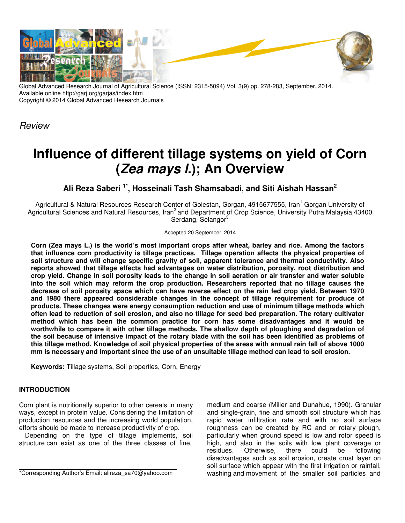

Global Advanced Research Journal of Agricultural Science (ISSN: 2315-5094) Vol. 3(9) pp. 278-283, September, 2014. Available online http://garj.org/garjas/index.htm Copyright © 2014 Global Advanced Research Journals

Review

# **Influence of different tillage systems on yield of Corn (Zea mays l.); An Overview**

**Ali Reza Saberi 1\*, Hosseinali Tash Shamsabadi, and Siti Aishah Hassan 2** 

Agricultural & Natural Resources Research Center of Golestan, Gorgan, 4915677555, Iran<sup>1</sup> Gorgan University of Agricultural Sciences and Natural Resources, Iran<sup>2</sup> and Department of Crop Science, University Putra Malaysia,43400 Serdang, Selangor<sup>3</sup>

Accepted 20 September, 2014

**Corn (Zea mays L.) is the world's most important crops after wheat, barley and rice. Among the factors that influence corn productivity is tillage practices. Tillage operation affects the physical properties of soil structure and will change specific gravity of soil, apparent tolerance and thermal conductivity. Also reports showed that tillage effects had advantages on water distribution, porosity, root distribution and crop yield. Change in soil porosity leads to the change in soil aeration or air transfer and water soluble into the soil which may reform the crop production. Researchers reported that no tillage causes the decrease of soil porosity space which can have reverse effect on the rain fed crop yield. Between 1970 and 1980 there appeared considerable changes in the concept of tillage requirement for produce of products. These changes were energy consumption reduction and use of minimum tillage methods which often lead to reduction of soil erosion, and also no tillage for seed bed preparation. The rotary cultivator method which has been the common practice for corn has some disadvantages and it would be worthwhile to compare it with other tillage methods. The shallow depth of ploughing and degradation of the soil because of intensive impact of the rotary blade with the soil has been identified as problems of this tillage method. Knowledge of soil physical properties of the areas with annual rain fall of above 1000 mm is necessary and important since the use of an unsuitable tillage method can lead to soil erosion.** 

**Keywords:** Tillage systems, Soil properties, Corn, Energy

## **INTRODUCTION**

Corn plant is nutritionally superior to other cereals in many ways, except in protein value. Considering the limitation of production resources and the increasing world population, efforts should be made to increase productivity of crop.

Depending on the type of tillage implements, soil structure can exist as one of the three classes of fine,

\*Corresponding Author's Email: alireza\_sa70@yahoo.com

medium and coarse (Miller and Dunahue, 1990). Granular and single-grain, fine and smooth soil structure which has rapid water infiltration rate and with no soil surface roughness can be created by RC and or rotary plough, particularly when ground speed is low and rotor speed is high, and also in the soils with low plant coverage or residues. Otherwise, there could be following Otherwise, disadvantages such as soil erosion, create crust layer on soil surface which appear with the first irrigation or rainfall, washing and movement of the smaller soil particles and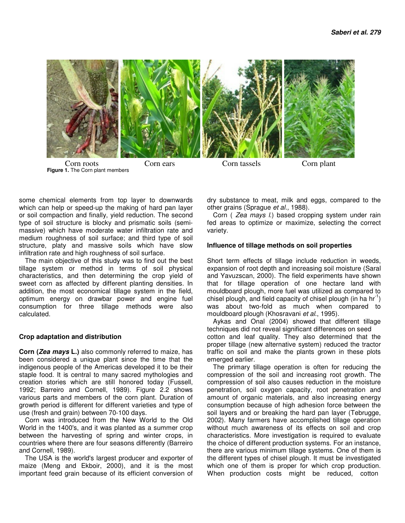

some chemical elements from top layer to downwards which can help or speed-up the making of hard pan layer or soil compaction and finally, yield reduction. The second type of soil structure is blocky and prismatic soils (semimassive) which have moderate water infiltration rate and medium roughness of soil surface; and third type of soil structure, platy and massive soils which have slow infiltration rate and high roughness of soil surface.

The main objective of this study was to find out the best tillage system or method in terms of soil physical characteristics, and then determining the crop yield of sweet corn as affected by different planting densities. In addition, the most economical tillage system in the field, optimum energy on drawbar power and engine fuel consumption for three tillage methods were also calculated.

### **Crop adaptation and distribution**

**Corn (Zea mays L.)** also commonly referred to maize, has been considered a unique plant since the time that the indigenous people of the Americas developed it to be their staple food. It is central to many sacred mythologies and creation stories which are still honored today (Fussell, 1992; Barreiro and Cornell, 1989). Figure 2.2 shows various parts and members of the corn plant. Duration of growth period is different for different varieties and type of use (fresh and grain) between 70-100 days.

Corn was introduced from the New World to the Old World in the 1400's, and it was planted as a summer crop between the harvesting of spring and winter crops, in countries where there are four seasons differently (Barreiro and Cornell, 1989).

The USA is the world's largest producer and exporter of maize (Meng and Ekboir, 2000), and it is the most important feed grain because of its efficient conversion of dry substance to meat, milk and eggs, compared to the other grains (Sprague et al., 1988).

Corn ( Zea mays I.) based cropping system under rain fed areas to optimize or maximize, selecting the correct variety.

### **Influence of tillage methods on soil properties**

Short term effects of tillage include reduction in weeds, expansion of root depth and increasing soil moisture (Saral and Yavuzscan, 2000). The field experiments have shown that for tillage operation of one hectare land with mouldboard plough, more fuel was utilized as compared to chisel plough, and field capacity of chisel plough (in ha  $hr^{-1}$ ) was about two-fold as much when compared to mouldboard plough (Khosravani et al., 1995).

Aykas and Onal (2004) showed that different tillage techniques did not reveal significant differences on seed cotton and leaf quality. They also determined that the proper tillage (new alternative system) reduced the tractor traffic on soil and make the plants grown in these plots emerged earlier.

The primary tillage operation is often for reducing the compression of the soil and increasing root growth. The compression of soil also causes reduction in the moisture penetration, soil oxygen capacity, root penetration and amount of organic materials, and also increasing energy consumption because of high adhesion force between the soil layers and or breaking the hard pan layer (Tebrugge, 2002). Many farmers have accomplished tillage operation without much awareness of its effects on soil and crop characteristics. More investigation is required to evaluate the choice of different production systems. For an instance, there are various minimum tillage systems. One of them is the different types of chisel plough. It must be investigated which one of them is proper for which crop production. When production costs might be reduced, cotton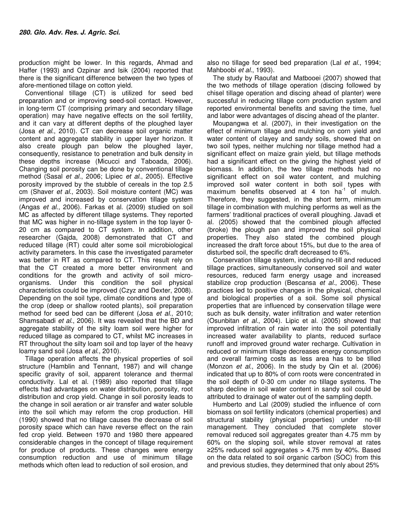production might be lower. In this regards, Ahmad and Haffer (1993) and Ozpinar and Isik (2004) reported that there is the significant difference between the two types of afore-mentioned tillage on cotton yield.

Conventional tillage (CT) is utilized for seed bed preparation and or improving seed-soil contact. However, in long-term CT (comprising primary and secondary tillage operation) may have negative effects on the soil fertility, and it can vary at different depths of the ploughed layer (Josa et al., 2010). CT can decrease soil organic matter content and aggregate stability in upper layer horizon. It also create plough pan below the ploughed layer, consequently, resistance to penetration and bulk density in these depths increase (Micucci and Taboada, 2006). Changing soil porosity can be done by conventional tillage method (Sasal et al., 2006; Lipiec et al., 2005). Effective porosity improved by the stubble of cereals in the top 2.5 cm (Shaver et al., 2003). Soil moisture content (MC) was improved and increased by conservation tillage system (Angas et al., 2006). Farkas et al. (2009) studied on soil MC as affected by different tillage systems. They reported that MC was higher in no-tillage system in the top layer 0- 20 cm as compared to CT system. In addition, other researcher (Gajda, 2008) demonstrated that CT and reduced tillage (RT) could alter some soil microbiological activity parameters. In this case the investigated parameter was better in RT as compared to CT. This result rely on that the CT created a more better environment and conditions for the growth and activity of soil microorganisms. Under this condition the soil physical characteristics could be improved (Czyz and Dexter, 2008). Depending on the soil type, climate conditions and type of the crop (deep or shallow rooted plants), soil preparation method for seed bed can be different (Josa et al., 2010; Shamsabadi et al., 2006). It was revealed that the BD and aggregate stability of the silty loam soil were higher for reduced tillage as compared to CT, whilst MC increases in RT throughout the silty loam soil and top layer of the heavy loamy sand soil (Josa et al., 2010).

Tillage operation affects the physical properties of soil structure (Hamblin and Tennant, 1987) and will change specific gravity of soil, apparent tolerance and thermal conductivity. Lal et al. (1989) also reported that tillage effects had advantages on water distribution, porosity, root distribution and crop yield. Change in soil porosity leads to the change in soil aeration or air transfer and water soluble into the soil which may reform the crop production. Hill (1990) showed that no tillage causes the decrease of soil porosity space which can have reverse effect on the rain fed crop yield. Between 1970 and 1980 there appeared considerable changes in the concept of tillage requirement for produce of products. These changes were energy consumption reduction and use of minimum tillage methods which often lead to reduction of soil erosion, and

also no tillage for seed bed preparation (Lal et al., 1994; Mahboobi et al., 1993).

The study by Raoufat and Matbooei (2007) showed that the two methods of tillage operation (discing followed by chisel tillage operation and discing ahead of planter) were successful in reducing tillage corn production system and reported environmental benefits and saving the time, fuel and labor were advantages of discing ahead of the planter.

Moupangwa et al. (2007), in their investigation on the effect of minimum tillage and mulching on corn yield and water content of clayey and sandy soils, showed that on two soil types, neither mulching nor tillage method had a significant effect on maize grain yield, but tillage methods had a significant effect on the giving the highest yield of biomass. In addition, the two tillage methods had no significant effect on soil water content, and mulching improved soil water content in both soil types with maximum benefits observed at 4 ton  $ha^{-1}$  of mulch. Therefore, they suggested, in the short term, minimum tillage in combination with mulching performs as well as the farmers' traditional practices of overall ploughing. Javadi et al. (2005) showed that the combined plough affected (broke) the plough pan and improved the soil physical properties. They also stated the combined plough increased the draft force about 15%, but due to the area of disturbed soil, the specific draft decreased to 6%.

Conservation tillage system, including no-till and reduced tillage practices, simultaneously conserved soil and water resources, reduced farm energy usage and increased stabilize crop production (Bescansa et al., 2006). These practices led to positive changes in the physical, chemical and biological properties of a soil. Some soil physical properties that are influenced by conservation tillage were such as bulk density, water infiltration and water retention (Osunbitan et al., 2004). Lipic et al. (2005) showed that improved infiltration of rain water into the soil potentially increased water availability to plants, reduced surface runoff and improved ground water recharge. Cultivation in reduced or minimum tillage decreases energy consumption and overall farming costs as less area has to be tilled (Monzon et al., 2006). In the study by Qin et al. (2006) indicated that up to 80% of corn roots were concentrated in the soil depth of 0-30 cm under no tillage systems. The sharp decline in soil water content in sandy soil could be attributed to drainage of water out of the sampling depth.

Humberto and Lal (2009) studied the influence of corn biomass on soil fertility indicators (chemical properties) and structural stability (physical properties) under no-till management. They concluded that complete stover removal reduced soil aggregates greater than 4.75 mm by 60% on the sloping soil, while stover removal at rates ≥25% reduced soil aggregates > 4.75 mm by 40%. Based on the data related to soil organic carbon (SOC) from this and previous studies, they determined that only about 25%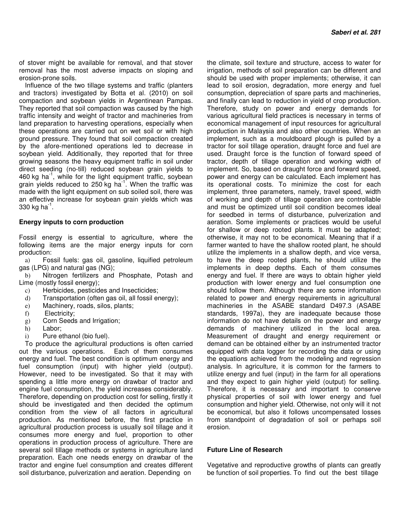of stover might be available for removal, and that stover removal has the most adverse impacts on sloping and erosion-prone soils.

Influence of the two tillage systems and traffic (planters and tractors) investigated by Botta et al. (2010) on soil compaction and soybean yields in Argentinean Pampas. They reported that soil compaction was caused by the high traffic intensity and weight of tractor and machineries from land preparation to harvesting operations, especially when these operations are carried out on wet soil or with high ground pressure. They found that soil compaction created by the afore-mentioned operations led to decrease in soybean yield. Additionally, they reported that for three growing seasons the heavy equipment traffic in soil under direct seeding (no-till) reduced soybean grain yields to 460 kg ha<sup>-1</sup>, while for the light equipment traffic, soybean grain yields reduced to 250 kg ha<sup>-1</sup>. When the traffic was made with the light equipment on sub soiled soil, there was an effective increase for soybean grain yields which was 330 kg ha<sup>-1</sup>.

#### **Energy inputs to corn production**

Fossil energy is essential to agriculture, where the following items are the major energy inputs for corn production:

a) Fossil fuels: gas oil, gasoline, liquified petroleum gas (LPG) and natural gas (NG);

b) Nitrogen fertilizers and Phosphate, Potash and Lime (mostly fossil energy);

- c) Herbicides, pesticides and Insecticides;
- d) Transportation (often gas oil, all fossil energy);
- e) Machinery, roads, silos, plants;
- f) Electricity;
- g) Corn Seeds and Irrigation;
- h) Labor;
- i) Pure ethanol (bio fuel).

To produce the agricultural productions is often carried out the various operations. Each of them consumes energy and fuel. The best condition is optimum energy and fuel consumption (input) with higher yield (output). However, need to be investigated. So that it may with spending a little more energy on drawbar of tractor and engine fuel consumption, the yield increases considerably. Therefore, depending on production cost for selling, firstly it should be investigated and then decided the optimum condition from the view of all factors in agricultural production. As mentioned before, the first practice in agricultural production process is usually soil tillage and it consumes more energy and fuel, proportion to other operations in production process of agriculture. There are several soil tillage methods or systems in agriculture land preparation. Each one needs energy on drawbar of the tractor and engine fuel consumption and creates different soil disturbance, pulverization and aeration. Depending on

the climate, soil texture and structure, access to water for irrigation, methods of soil preparation can be different and should be used with proper implements; otherwise, it can lead to soil erosion, degradation, more energy and fuel consumption, depreciation of spare parts and machineries, and finally can lead to reduction in yield of crop production. Therefore, study on power and energy demands for various agricultural field practices is necessary in terms of economical management of input resources for agricultural production in Malaysia and also other countries. When an implement, such as a mouldboard plough is pulled by a tractor for soil tillage operation, draught force and fuel are used. Draught force is the function of forward speed of tractor, depth of tillage operation and working width of implement. So, based on draught force and forward speed, power and energy can be calculated. Each implement has its operational costs. To minimize the cost for each implement, three parameters, namely, travel speed, width of working and depth of tillage operation are controllable and must be optimized until soil condition becomes ideal for seedbed in terms of disturbance, pulverization and aeration. Some implements or practices would be useful for shallow or deep rooted plants. It must be adapted; otherwise, it may not to be economical. Meaning that if a farmer wanted to have the shallow rooted plant, he should utilize the implements in a shallow depth, and vice versa, to have the deep rooted plants, he should utilize the implements in deep depths. Each of them consumes energy and fuel. If there are ways to obtain higher yield production with lower energy and fuel consumption one should follow them. Although there are some information related to power and energy requirements in agricultural machineries in the ASABE standard D497.3 (ASABE standards, 1997a), they are inadequate because those information do not have details on the power and energy demands of machinery utilized in the local area. Measurement of draught and energy requirement or demand can be obtained either by an instrumented tractor equipped with data logger for recording the data or using the equations achieved from the modeling and regression analysis. In agriculture, it is common for the farmers to utilize energy and fuel (input) in the farm for all operations and they expect to gain higher yield (output) for selling. Therefore, it is necessary and important to conserve physical properties of soil with lower energy and fuel consumption and higher yield. Otherwise, not only will it not be economical, but also it follows uncompensated losses from standpoint of degradation of soil or perhaps soil erosion.

### **Future Line of Research**

Vegetative and reproductive growths of plants can greatly be function of soil properties. To find out the best tillage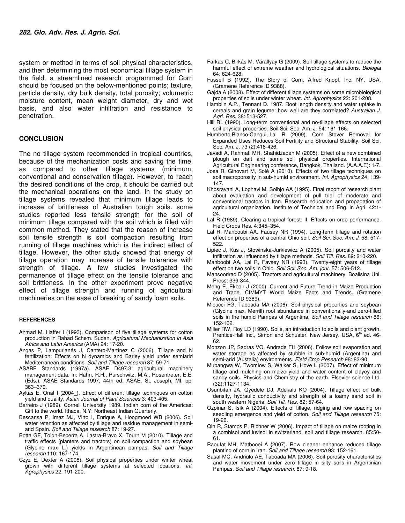system or method in terms of soil physical characteristics, and then determining the most economical tillage system in the field, a streamlined research programmed for Corn should be focused on the below-mentioned points; texture, particle density, dry bulk density, total porosity; volumetric moisture content, mean weight diameter, dry and wet basis, and also water infiltration and resistance to penetration.

#### **CONCLUSION**

The no tillage system recommended in tropical countries, because of the mechanization costs and saving the time, as compared to other tillage systems (minimum, conventional and conservation tillage). However, to reach the desired conditions of the crop, it should be carried out the mechanical operations on the land. In the study on tillage systems revealed that minimum tillage leads to increase of brittleness of Australian tough soils. some studies reported less tensile strength for the soil of minimum tillage compared with the soil which is filled with common method. They stated that the reason of increase soil tensile strength is soil compaction resulting from running of tillage machines which is the indirect effect of tillage. However, the other study showed that energy of tillage operation may increase of tensile tolerance with strength of tillage. A few studies investigated the permanence of tillage effect on the tensile tolerance and soil brittleness. In the other experiment prove negative effect of tillage strength and running of agricultural machineries on the ease of breaking of sandy loam soils.

#### **REFERENCES**

- Ahmad M, Haffer I (1993). Comparison of five tillage systems for cotton production in Rahad Schem. Sudan. Agricultural Mechanization in Asia Africa and Latin America (AMA) 24: 17-20.
- Angas P, Lampurlanés J, Cantero-Martínez C (2006). Tillage and N fertilization: Effects on N dynamics and Barley yield under semiarid Mediterranean conditions. Soil and Tillage research 87: 59-71.
- ASABE Standards (1997a). ASAE D497.3: agricultural machinery management data. In: Hahn, R.H., Purschwitz, M.A., Rosentreter, E.E. (Eds.), ASAE Standards 1997, 44th ed. ASAE, St. Joseph, MI, pp. 363–370.
- Aykas E, Onal I (2004\_). Effect of different tillage techniques on cotton yield and quality. Asian Journal of Plant Sciences 3: 403-405.
- Barreiro J (1989). Cornell University 1989. Indian corn of the Americas: Gift to the world. Ithaca, N.Y: Northeast Indian Quarterly.
- Bescansa P, Imaz MJ, Virto I, Enrique A, Hoogmoed WB (2006). Soil water retention as affected by tillage and residue management in semiarid Spain. Soil and Tillage research 87: 19-27.
- Botta GF, Tolon-Becerra A, Lastra-Bravo X, Tourn M (2010). Tillage and traffic effects (planters and tractors) on soil compaction and soybean (Glycine max L.) yields in Argentinean pampas. Soil and Tillage research 110: 167-174.
- Czyz E, Dexter A (2008). Soil physical properties under winter wheat grown with different tillage systems at selected locations. Int. Agrophysics 22: 191-200.
- Farkas C, Birkás M, Várallyay G (2009). Soil tillage systems to reduce the harmful effect of extreme weather and hydrological situations. Biologia 64: 624-628.
- Fussell B **(**1992). The Story of Corn. Alfred Knopf, Inc, NY, USA. (Gramene Reference ID 9388).
- Gajda A (2008). Effect of different tillage systems on some microbiological properties of soils under winter wheat. Int. Agrophysics 22: 201-208.
- Hamblin A.P., Tennant D. 1987. Root length density and water uptake in cereals and grain legume: how well are they correlated? Australian J. Agri. Res. 38: 513-527.
- Hill RL **(**1990). Long-term conventional and no-tillage effects on selected soil physical properties. Soil Sci. Soc. Am. J. 54: 161-166.
- Humberto Blanco-Canqui, Lal R (2009). Corn Stover Removal for Expanded Uses Reduces Soil Fertility and Structural Stability. Soil Sci. Soc. Am. J. 73 (2):418-426.
- Javadi A, Rahmati MH, Shahidzadeh M (2005). Effect of a new combined plough on daft and some soil physical properties. International Agricultural Engineering conference, Bangkok, Thailand. (A.A.A.E): 1-7.
- Josa R, Ginovart M, Solé A (2010). Effects of two tillage techniques on soil macroporosity in sub-humid environment. Int. Agrophysics 24: 139-147.
- Khosravani A, Loghavi M, Solhjo AA (1995). Final report of research plant about evaluation and development of pull trial of moderate and conventional tractors in Iran. Research education and propagation of agricultural organization. Institute of Technical and Eng. in Agri. 42:1-  $24.$
- Lal R **(**1989). Clearing a tropical forest. II. Effects on crop performance. Field Crops Res. 4:345–354.
- Lal R, Mahboubi AA, Fausey NR (1994). Long-term tillage and rotation effect on properties of a central Ohio soil. Soil Sci. Soc. Am. J. 58: 517-522.
- Lipiec J, Kus J, Stowinska-Jurkiewicz A (2005). Soil porosity and water infiltration as influenced by tillage methods. Soil Till. Res. 89: 210-220.
- Mahboobi AA, Lal R, Favsey NR (1993). Twenty-eight years of tillage effect on two soils in Ohio. Soil Sci. Soc. Am. jour. 57: 506-512.
- Mansoorirad D **(**2005). Tractors and agricultural machinery. Boalisina Uni. Press: 339-344.
- Meng E, Ekboir J (2000). Current and Future Trend in Maize Production and Trade. CIMMYT World Maize Facts and Trends. (Gramene Reference ID 9389).
- Micucci FG, Taboada MA (2006). Soil physical properties and soybean (Glycine max, Merrill) root abundance in conventionally-and zero-tilled soils in the humid Pampas of Argentina. Soil and Tillage research 86: 152-162.
- Miller RW, Roy LD (1990). Soils, an introduction to soils and plant growth. Prentice-Hall Inc., Simon and Schuster, New Jersey. USA, 6<sup>th</sup> ed. 46-62.
- Monzon JP, Sadras VO, Andrade FH (2006). Follow soil evaporation and water storage as affected by stubble in sub-humid (Argentina) and semi-arid (Austalia) environments. Field Crop Research 98: 83-90.
- Mupangwa W, Twomlow S, Walker S, Hove L (2007). Effect of minimum tillage and mulching on maize yield and water content of clayey and sandy soils. Physics and Chemistry of the earth. Elsevier science Ltd. (32):1127-1134.
- Osunbitan JA, Qyedele DJ, Adekalu KO (2004). Tillage effect on bulk density, hydraulic conductivity and strength of a loamy sand soil in south western Nigeria. Soil Till. Res. 82: 57-64.
- Ozpinar S, Isik A (2004). Effects of tillage, ridging and row spacing on seedling emergence and yield of cotton. Soil and Tillage research 75: 19-26.
- Qin R, Stamps P, Richner W (2006). Impact of tillage on maize rooting in a combisol and luvisol in switzerland, soil and tillage research. 85:50- 61.
- Raoufat MH, Matbooei A **(**2007). Row cleaner enhance reduced tillage planting of corn in Iran. Soil and Tillage research 93: 152-161.
- Sasal MC, Andriulo AE, Taboada MA (2006). Soil porosity characteristics and water movement under zero tillage in silty soils in Argentinian Pampas. Soil and Tillage research, 87: 9-18.